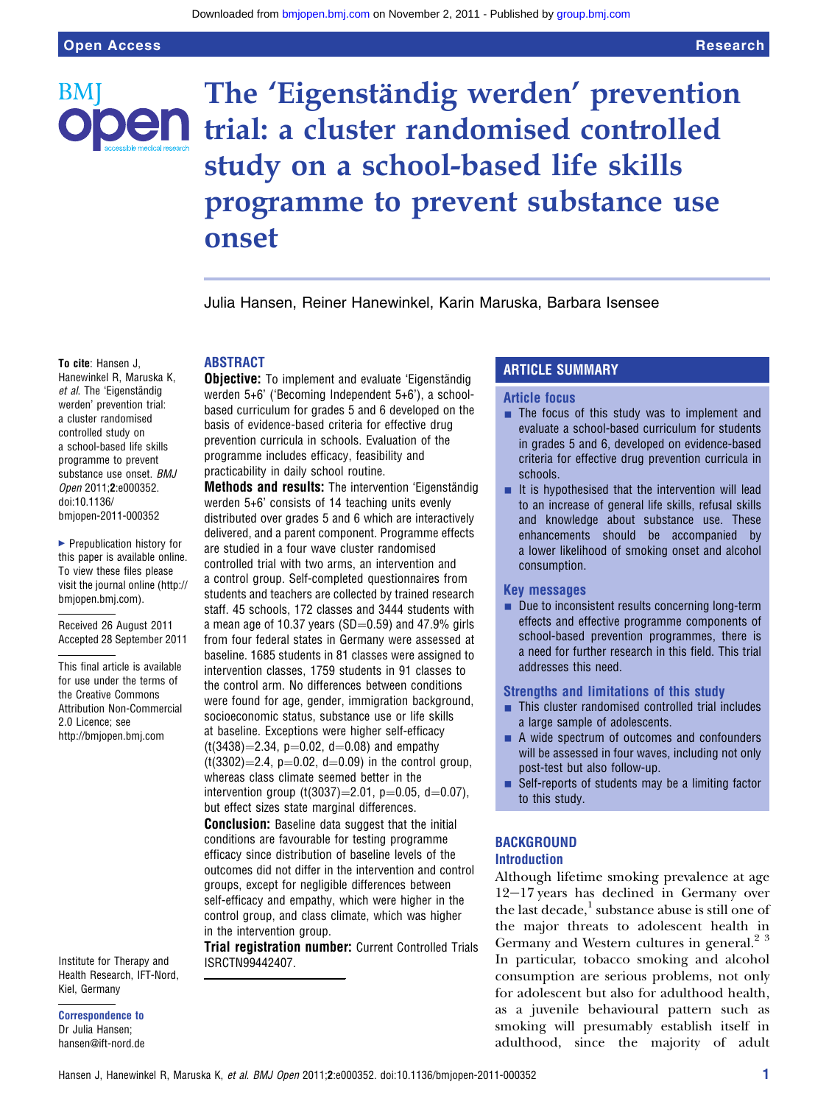BM<sup>:</sup>

# The 'Eigenständig werden' prevention **en** trial: a cluster randomised controlled study on a school-based life skills programme to prevent substance use onset

Julia Hansen, Reiner Hanewinkel, Karin Maruska, Barbara Isensee

## ABSTRACT

**Objective:** To implement and evaluate 'Eigenständig werden 5+6' ('Becoming Independent 5+6'), a schoolbased curriculum for grades 5 and 6 developed on the basis of evidence-based criteria for effective drug prevention curricula in schools. Evaluation of the programme includes efficacy, feasibility and practicability in daily school routine.

Methods and results: The intervention 'Eigenständig werden 5+6' consists of 14 teaching units evenly distributed over grades 5 and 6 which are interactively delivered, and a parent component. Programme effects are studied in a four wave cluster randomised controlled trial with two arms, an intervention and a control group. Self-completed questionnaires from students and teachers are collected by trained research staff. 45 schools, 172 classes and 3444 students with a mean age of 10.37 years (SD $=$ 0.59) and 47.9% girls from four federal states in Germany were assessed at baseline. 1685 students in 81 classes were assigned to intervention classes, 1759 students in 91 classes to the control arm. No differences between conditions were found for age, gender, immigration background, socioeconomic status, substance use or life skills at baseline. Exceptions were higher self-efficacy  $(t(3438)=2.34, p=0.02, d=0.08)$  and empathy  $(t(3302)=2.4, p=0.02, d=0.09)$  in the control group, whereas class climate seemed better in the intervention group (t(3037)=2.01, p=0.05, d=0.07), but effect sizes state marginal differences. **Conclusion:** Baseline data suggest that the initial conditions are favourable for testing programme efficacy since distribution of baseline levels of the outcomes did not differ in the intervention and control

groups, except for negligible differences between self-efficacy and empathy, which were higher in the control group, and class climate, which was higher in the intervention group.

Trial registration number: Current Controlled Trials ISRCTN99442407.

## ARTICLE SUMMARY

## Article focus

- **The focus of this study was to implement and** evaluate a school-based curriculum for students in grades 5 and 6, developed on evidence-based criteria for effective drug prevention curricula in schools.
- $\blacksquare$  It is hypothesised that the intervention will lead to an increase of general life skills, refusal skills and knowledge about substance use. These enhancements should be accompanied by a lower likelihood of smoking onset and alcohol consumption.

#### Key messages

 $\blacksquare$  Due to inconsistent results concerning long-term effects and effective programme components of school-based prevention programmes, there is a need for further research in this field. This trial addresses this need.

#### Strengths and limitations of this study

- $\blacksquare$  This cluster randomised controlled trial includes a large sample of adolescents.
- $\blacksquare$  A wide spectrum of outcomes and confounders will be assessed in four waves, including not only post-test but also follow-up.
- **Bulf-reports of students may be a limiting factor** to this study.

### **BACKGROUND** Introduction

Although lifetime smoking prevalence at age  $12-17$  years has declined in Germany over the last decade, $\frac{1}{2}$  substance abuse is still one of the major threats to adolescent health in Germany and Western cultures in general.<sup>2</sup><sup>3</sup> In particular, tobacco smoking and alcohol consumption are serious problems, not only for adolescent but also for adulthood health, as a juvenile behavioural pattern such as smoking will presumably establish itself in adulthood, since the majority of adult

Hanewinkel R, Maruska K, et al. The 'Eigenständig werden' prevention trial: a cluster randomised controlled study on a school-based life skills programme to prevent substance use onset. BMJ Open 2011;2:e000352. doi:10.1136/ bmjopen-2011-000352

To cite: Hansen J,

▶ Prepublication history for this paper is available online. To view these files please visit the journal online (http:// bmjopen.bmj.com).

Received 26 August 2011 Accepted 28 September 2011

This final article is available for use under the terms of the Creative Commons Attribution Non-Commercial 2.0 Licence; see http://bmjopen.bmj.com

Institute for Therapy and Health Research, IFT-Nord, Kiel, Germany

### Correspondence to Dr Julia Hansen; hansen@ift-nord.de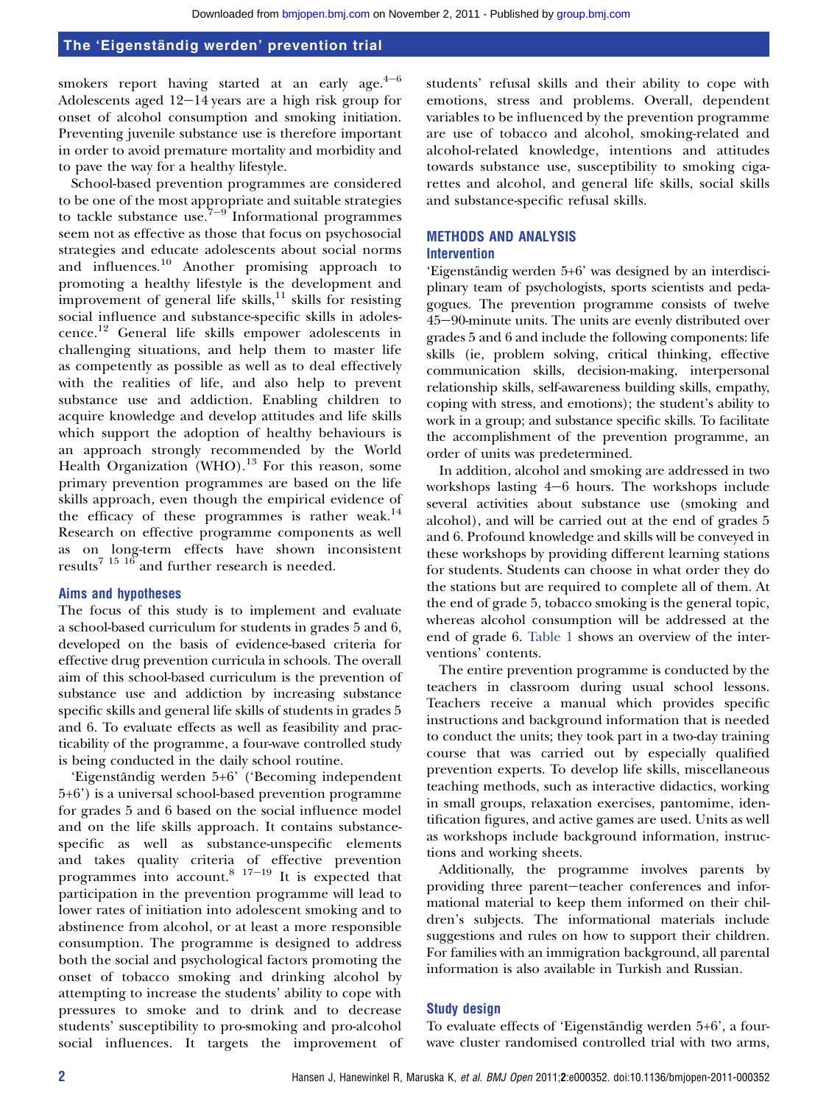smokers report having started at an early age. $4^{-6}$ Adolescents aged  $12-14$  years are a high risk group for onset of alcohol consumption and smoking initiation. Preventing juvenile substance use is therefore important in order to avoid premature mortality and morbidity and to pave the way for a healthy lifestyle.

School-based prevention programmes are considered to be one of the most appropriate and suitable strategies to tackle substance use.<sup>7-9</sup> Informational programmes seem not as effective as those that focus on psychosocial strategies and educate adolescents about social norms and influences.<sup>10</sup> Another promising approach to promoting a healthy lifestyle is the development and improvement of general life skills, $^{11}$  skills for resisting social influence and substance-specific skills in adolescence.<sup>12</sup> General life skills empower adolescents in challenging situations, and help them to master life as competently as possible as well as to deal effectively with the realities of life, and also help to prevent substance use and addiction. Enabling children to acquire knowledge and develop attitudes and life skills which support the adoption of healthy behaviours is an approach strongly recommended by the World Health Organization (WHO).<sup>13</sup> For this reason, some primary prevention programmes are based on the life skills approach, even though the empirical evidence of the efficacy of these programmes is rather weak. $^{14}$ Research on effective programme components as well as on long-term effects have shown inconsistent results<sup>7</sup> <sup>15</sup> <sup>16</sup> and further research is needed.

## Aims and hypotheses

The focus of this study is to implement and evaluate a school-based curriculum for students in grades 5 and 6, developed on the basis of evidence-based criteria for effective drug prevention curricula in schools. The overall aim of this school-based curriculum is the prevention of substance use and addiction by increasing substance specific skills and general life skills of students in grades 5 and 6. To evaluate effects as well as feasibility and practicability of the programme, a four-wave controlled study is being conducted in the daily school routine.

'Eigenständig werden 5+6' ('Becoming independent 5+6') is a universal school-based prevention programme for grades 5 and 6 based on the social influence model and on the life skills approach. It contains substancespecific as well as substance-unspecific elements and takes quality criteria of effective prevention programmes into account. $8^{17-19}$  It is expected that participation in the prevention programme will lead to lower rates of initiation into adolescent smoking and to abstinence from alcohol, or at least a more responsible consumption. The programme is designed to address both the social and psychological factors promoting the onset of tobacco smoking and drinking alcohol by attempting to increase the students' ability to cope with pressures to smoke and to drink and to decrease students' susceptibility to pro-smoking and pro-alcohol social influences. It targets the improvement of

students' refusal skills and their ability to cope with emotions, stress and problems. Overall, dependent variables to be influenced by the prevention programme are use of tobacco and alcohol, smoking-related and alcohol-related knowledge, intentions and attitudes towards substance use, susceptibility to smoking cigarettes and alcohol, and general life skills, social skills and substance-specific refusal skills.

## METHODS AND ANALYSIS Intervention

'Eigenständig werden 5+6' was designed by an interdisciplinary team of psychologists, sports scientists and pedagogues. The prevention programme consists of twelve 45-90-minute units. The units are evenly distributed over grades 5 and 6 and include the following components: life skills (ie, problem solving, critical thinking, effective communication skills, decision-making, interpersonal relationship skills, self-awareness building skills, empathy, coping with stress, and emotions); the student's ability to work in a group; and substance specific skills. To facilitate the accomplishment of the prevention programme, an order of units was predetermined.

In addition, alcohol and smoking are addressed in two workshops lasting  $4-6$  hours. The workshops include several activities about substance use (smoking and alcohol), and will be carried out at the end of grades 5 and 6. Profound knowledge and skills will be conveyed in these workshops by providing different learning stations for students. Students can choose in what order they do the stations but are required to complete all of them. At the end of grade 5, tobacco smoking is the general topic, whereas alcohol consumption will be addressed at the end of grade 6. Table 1 shows an overview of the interventions' contents.

The entire prevention programme is conducted by the teachers in classroom during usual school lessons. Teachers receive a manual which provides specific instructions and background information that is needed to conduct the units; they took part in a two-day training course that was carried out by especially qualified prevention experts. To develop life skills, miscellaneous teaching methods, such as interactive didactics, working in small groups, relaxation exercises, pantomime, identification figures, and active games are used. Units as well as workshops include background information, instructions and working sheets.

Additionally, the programme involves parents by providing three parent-teacher conferences and informational material to keep them informed on their children's subjects. The informational materials include suggestions and rules on how to support their children. For families with an immigration background, all parental information is also available in Turkish and Russian.

#### Study design

To evaluate effects of 'Eigenständig werden 5+6', a fourwave cluster randomised controlled trial with two arms,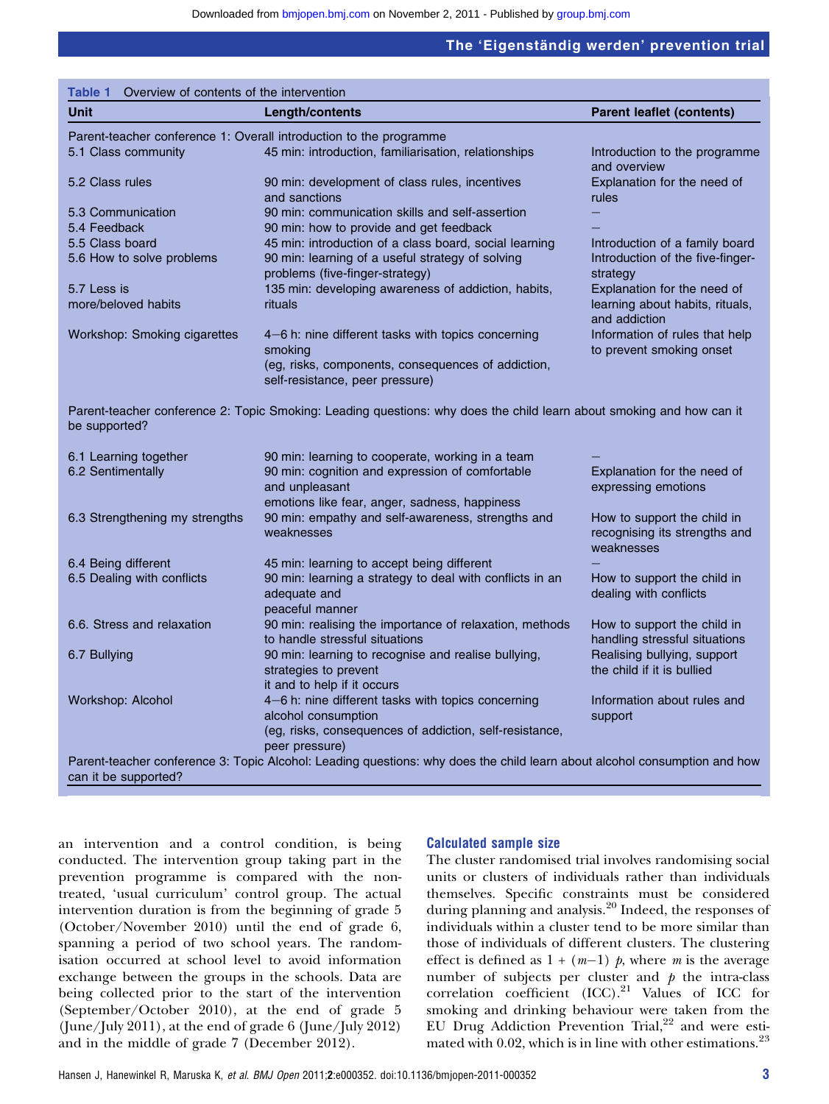| Overview of contents of the intervention<br>Table 1 |                                                                                                                           |                                                                            |
|-----------------------------------------------------|---------------------------------------------------------------------------------------------------------------------------|----------------------------------------------------------------------------|
| <b>Unit</b>                                         | <b>Length/contents</b>                                                                                                    | <b>Parent leaflet (contents)</b>                                           |
|                                                     | Parent-teacher conference 1: Overall introduction to the programme                                                        |                                                                            |
| 5.1 Class community                                 | 45 min: introduction, familiarisation, relationships                                                                      | Introduction to the programme<br>and overview                              |
| 5.2 Class rules                                     | 90 min: development of class rules, incentives<br>and sanctions                                                           | Explanation for the need of<br>rules                                       |
| 5.3 Communication                                   | 90 min: communication skills and self-assertion                                                                           |                                                                            |
| 5.4 Feedback                                        | 90 min: how to provide and get feedback                                                                                   |                                                                            |
| 5.5 Class board                                     | 45 min: introduction of a class board, social learning                                                                    | Introduction of a family board                                             |
| 5.6 How to solve problems                           | 90 min: learning of a useful strategy of solving<br>problems (five-finger-strategy)                                       | Introduction of the five-finger-<br>strategy                               |
| 5.7 Less is                                         | 135 min: developing awareness of addiction, habits,                                                                       | Explanation for the need of                                                |
| more/beloved habits                                 | rituals                                                                                                                   | learning about habits, rituals,<br>and addiction                           |
| Workshop: Smoking cigarettes                        | 4-6 h: nine different tasks with topics concerning<br>smoking                                                             | Information of rules that help<br>to prevent smoking onset                 |
|                                                     | (eg, risks, components, consequences of addiction,<br>self-resistance, peer pressure)                                     |                                                                            |
| be supported?                                       | Parent-teacher conference 2: Topic Smoking: Leading questions: why does the child learn about smoking and how can it      |                                                                            |
| 6.1 Learning together                               | 90 min: learning to cooperate, working in a team                                                                          |                                                                            |
| 6.2 Sentimentally                                   | 90 min: cognition and expression of comfortable<br>and unpleasant                                                         | Explanation for the need of<br>expressing emotions                         |
|                                                     | emotions like fear, anger, sadness, happiness                                                                             |                                                                            |
| 6.3 Strengthening my strengths                      | 90 min: empathy and self-awareness, strengths and<br>weaknesses                                                           | How to support the child in<br>recognising its strengths and<br>weaknesses |
| 6.4 Being different                                 | 45 min: learning to accept being different                                                                                |                                                                            |
| 6.5 Dealing with conflicts                          | 90 min: learning a strategy to deal with conflicts in an<br>adequate and                                                  | How to support the child in<br>dealing with conflicts                      |
| 6.6. Stress and relaxation                          | peaceful manner<br>90 min: realising the importance of relaxation, methods                                                | How to support the child in                                                |
|                                                     | to handle stressful situations                                                                                            | handling stressful situations                                              |
| 6.7 Bullying                                        | 90 min: learning to recognise and realise bullying,<br>strategies to prevent                                              | Realising bullying, support<br>the child if it is bullied                  |
|                                                     | it and to help if it occurs                                                                                               |                                                                            |
| Workshop: Alcohol                                   | 4-6 h: nine different tasks with topics concerning<br>alcohol consumption                                                 | Information about rules and<br>support                                     |
|                                                     | (eg, risks, consequences of addiction, self-resistance,<br>peer pressure)                                                 |                                                                            |
|                                                     | Parent-teacher conference 3: Topic Alcohol: Leading questions: why does the child learn about alcohol consumption and how |                                                                            |
| can it be supported?                                |                                                                                                                           |                                                                            |

an intervention and a control condition, is being conducted. The intervention group taking part in the prevention programme is compared with the nontreated, 'usual curriculum' control group. The actual intervention duration is from the beginning of grade 5 (October/November 2010) until the end of grade 6, spanning a period of two school years. The randomisation occurred at school level to avoid information exchange between the groups in the schools. Data are being collected prior to the start of the intervention (September/October 2010), at the end of grade 5 (June/July 2011), at the end of grade 6 (June/July 2012) and in the middle of grade 7 (December 2012).

## Calculated sample size

The cluster randomised trial involves randomising social units or clusters of individuals rather than individuals themselves. Specific constraints must be considered during planning and analysis.<sup>20</sup> Indeed, the responses of individuals within a cluster tend to be more similar than those of individuals of different clusters. The clustering effect is defined as  $1 + (m-1)$  p, where m is the average<br>number of subjects per cluster and p the intra-class number of subjects per cluster and  $\dot{p}$  the intra-class<br>correlation, coefficient (ICC)<sup>21</sup> Values of ICC for correlation coefficient  $(ICC).^{21}$  Values of ICC for smoking and drinking behaviour were taken from the EU Drug Addiction Prevention Trial,<sup>22</sup> and were estimated with 0.02, which is in line with other estimations. $^{23}$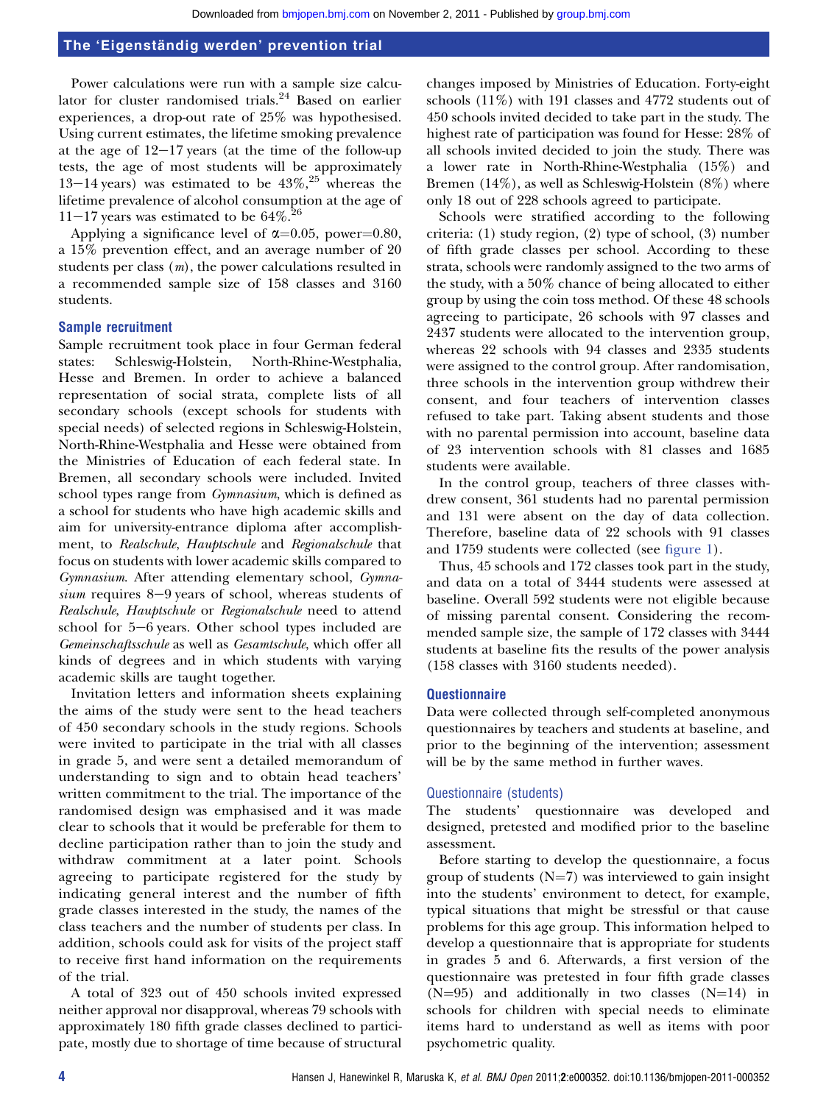Power calculations were run with a sample size calculator for cluster randomised trials.<sup>24</sup> Based on earlier experiences, a drop-out rate of 25% was hypothesised. Using current estimates, the lifetime smoking prevalence at the age of  $12-17$  years (at the time of the follow-up tests, the age of most students will be approximately 13–14 years) was estimated to be  $43\%$ , <sup>25</sup> whereas the lifetime prevalence of alcohol consumption at the age of 11-17 years was estimated to be  $64\%$ .<sup>26</sup>

Applying a significance level of  $\alpha=0.05$ , power=0.80, a 15% prevention effect, and an average number of 20 students per class  $(m)$ , the power calculations resulted in a recommended sample size of 158 classes and 3160 students.

## Sample recruitment

Sample recruitment took place in four German federal states: Schleswig-Holstein, North-Rhine-Westphalia, Hesse and Bremen. In order to achieve a balanced representation of social strata, complete lists of all secondary schools (except schools for students with special needs) of selected regions in Schleswig-Holstein, North-Rhine-Westphalia and Hesse were obtained from the Ministries of Education of each federal state. In Bremen, all secondary schools were included. Invited school types range from *Gymnasium*, which is defined as a school for students who have high academic skills and aim for university-entrance diploma after accomplishment, to Realschule, Hauptschule and Regionalschule that focus on students with lower academic skills compared to Gymnasium. After attending elementary school, Gymnasium requires  $8-9$  years of school, whereas students of Realschule, Hauptschule or Regionalschule need to attend school for  $5-6$  years. Other school types included are Gemeinschaftsschule as well as Gesamtschule, which offer all kinds of degrees and in which students with varying academic skills are taught together.

Invitation letters and information sheets explaining the aims of the study were sent to the head teachers of 450 secondary schools in the study regions. Schools were invited to participate in the trial with all classes in grade 5, and were sent a detailed memorandum of understanding to sign and to obtain head teachers' written commitment to the trial. The importance of the randomised design was emphasised and it was made clear to schools that it would be preferable for them to decline participation rather than to join the study and withdraw commitment at a later point. Schools agreeing to participate registered for the study by indicating general interest and the number of fifth grade classes interested in the study, the names of the class teachers and the number of students per class. In addition, schools could ask for visits of the project staff to receive first hand information on the requirements of the trial.

A total of 323 out of 450 schools invited expressed neither approval nor disapproval, whereas 79 schools with approximately 180 fifth grade classes declined to participate, mostly due to shortage of time because of structural

changes imposed by Ministries of Education. Forty-eight schools (11%) with 191 classes and 4772 students out of 450 schools invited decided to take part in the study. The highest rate of participation was found for Hesse: 28% of all schools invited decided to join the study. There was a lower rate in North-Rhine-Westphalia (15%) and Bremen (14%), as well as Schleswig-Holstein (8%) where only 18 out of 228 schools agreed to participate.

Schools were stratified according to the following criteria: (1) study region, (2) type of school, (3) number of fifth grade classes per school. According to these strata, schools were randomly assigned to the two arms of the study, with a 50% chance of being allocated to either group by using the coin toss method. Of these 48 schools agreeing to participate, 26 schools with 97 classes and 2437 students were allocated to the intervention group, whereas 22 schools with 94 classes and 2335 students were assigned to the control group. After randomisation, three schools in the intervention group withdrew their consent, and four teachers of intervention classes refused to take part. Taking absent students and those with no parental permission into account, baseline data of 23 intervention schools with 81 classes and 1685 students were available.

In the control group, teachers of three classes withdrew consent, 361 students had no parental permission and 131 were absent on the day of data collection. Therefore, baseline data of 22 schools with 91 classes and 1759 students were collected (see figure 1).

Thus, 45 schools and 172 classes took part in the study, and data on a total of 3444 students were assessed at baseline. Overall 592 students were not eligible because of missing parental consent. Considering the recommended sample size, the sample of 172 classes with 3444 students at baseline fits the results of the power analysis (158 classes with 3160 students needed).

#### **Questionnaire**

Data were collected through self-completed anonymous questionnaires by teachers and students at baseline, and prior to the beginning of the intervention; assessment will be by the same method in further waves.

#### Questionnaire (students)

The students' questionnaire was developed and designed, pretested and modified prior to the baseline assessment.

Before starting to develop the questionnaire, a focus group of students ( $N=7$ ) was interviewed to gain insight into the students' environment to detect, for example, typical situations that might be stressful or that cause problems for this age group. This information helped to develop a questionnaire that is appropriate for students in grades 5 and 6. Afterwards, a first version of the questionnaire was pretested in four fifth grade classes  $(N=95)$  and additionally in two classes  $(N=14)$  in schools for children with special needs to eliminate items hard to understand as well as items with poor psychometric quality.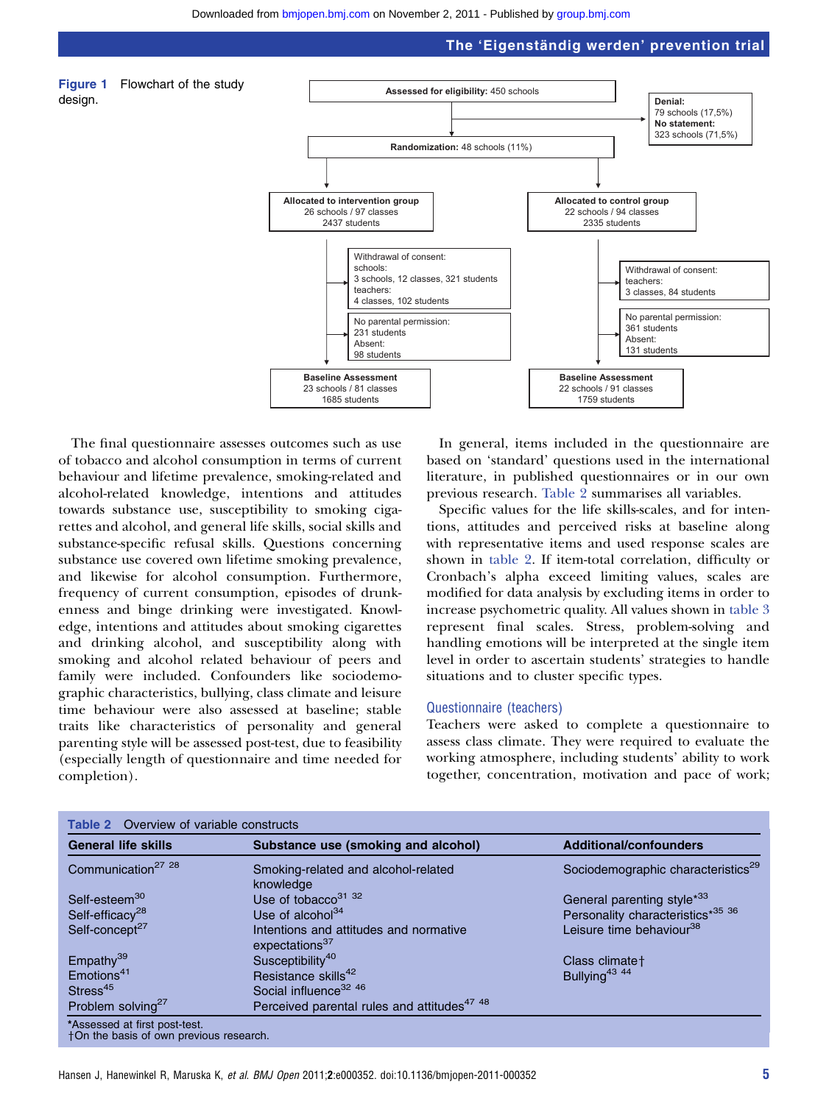

The final questionnaire assesses outcomes such as use of tobacco and alcohol consumption in terms of current behaviour and lifetime prevalence, smoking-related and alcohol-related knowledge, intentions and attitudes towards substance use, susceptibility to smoking cigarettes and alcohol, and general life skills, social skills and substance-specific refusal skills. Questions concerning substance use covered own lifetime smoking prevalence, and likewise for alcohol consumption. Furthermore, frequency of current consumption, episodes of drunkenness and binge drinking were investigated. Knowledge, intentions and attitudes about smoking cigarettes and drinking alcohol, and susceptibility along with smoking and alcohol related behaviour of peers and family were included. Confounders like sociodemographic characteristics, bullying, class climate and leisure time behaviour were also assessed at baseline; stable traits like characteristics of personality and general parenting style will be assessed post-test, due to feasibility (especially length of questionnaire and time needed for completion).

In general, items included in the questionnaire are based on 'standard' questions used in the international literature, in published questionnaires or in our own previous research. Table 2 summarises all variables.

Specific values for the life skills-scales, and for intentions, attitudes and perceived risks at baseline along with representative items and used response scales are shown in table 2. If item-total correlation, difficulty or Cronbach's alpha exceed limiting values, scales are modified for data analysis by excluding items in order to increase psychometric quality. All values shown in table 3 represent final scales. Stress, problem-solving and handling emotions will be interpreted at the single item level in order to ascertain students' strategies to handle situations and to cluster specific types.

#### Questionnaire (teachers)

Teachers were asked to complete a questionnaire to assess class climate. They were required to evaluate the working atmosphere, including students' ability to work together, concentration, motivation and pace of work;

| <b>Table 2</b> Overview of variable constructs<br><b>General life skills</b> | Substance use (smoking and alcohol)                                  | <b>Additional/confounders</b>                  |
|------------------------------------------------------------------------------|----------------------------------------------------------------------|------------------------------------------------|
| Communication <sup>27</sup> <sup>28</sup>                                    | Smoking-related and alcohol-related<br>knowledge                     | Sociodemographic characteristics <sup>29</sup> |
| Self-esteem <sup>30</sup>                                                    | Use of tobacco $3132$                                                | General parenting style <sup>*33</sup>         |
| Self-efficacy <sup>28</sup>                                                  | Use of alcohol $34$                                                  | Personality characteristics*35 36              |
| Self-concept <sup>27</sup>                                                   | Intentions and attitudes and normative<br>expectations <sup>37</sup> | Leisure time behaviour <sup>38</sup>           |
| Empathy <sup>39</sup>                                                        | Susceptibility <sup>40</sup>                                         | Class climate +                                |
| Emotions <sup>41</sup>                                                       | Resistance skills <sup>42</sup>                                      | Bullying <sup>43 44</sup>                      |
| Stress <sup>45</sup>                                                         | Social influence <sup>32 46</sup>                                    |                                                |
| Problem solving <sup>27</sup>                                                | Perceived parental rules and attitudes <sup>47 48</sup>              |                                                |
| *Assessed at first post-test.<br>+On the basis of own previous research.     |                                                                      |                                                |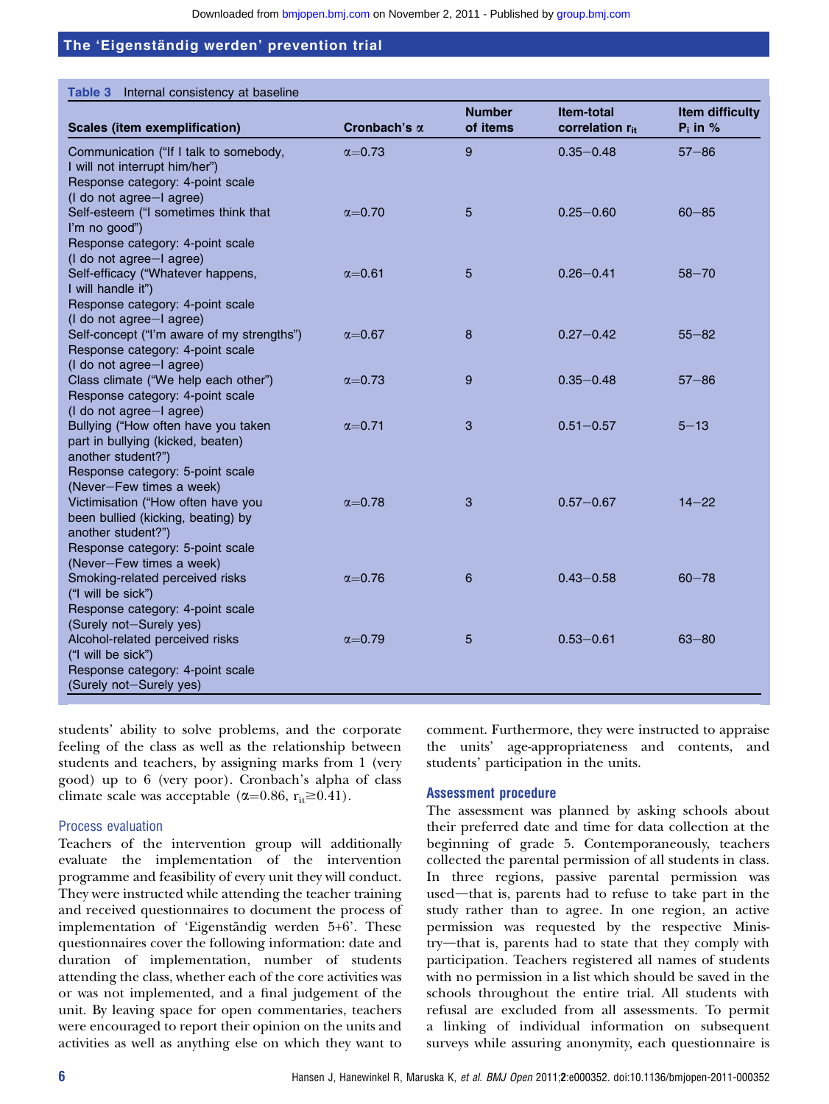|                                                                                                                                                                |                     | <b>Number</b> | Item-total                  | Item difficulty |
|----------------------------------------------------------------------------------------------------------------------------------------------------------------|---------------------|---------------|-----------------------------|-----------------|
| <b>Scales (item exemplification)</b>                                                                                                                           | Cronbach's $\alpha$ | of items      | correlation r <sub>it</sub> | $P_i$ in %      |
| Communication ("If I talk to somebody,<br>I will not interrupt him/her")<br>Response category: 4-point scale<br>(I do not agree-I agree)                       | $\alpha = 0.73$     | 9             | $0.35 - 0.48$               | $57 - 86$       |
| Self-esteem ("I sometimes think that<br>I'm no good")<br>Response category: 4-point scale                                                                      | $\alpha = 0.70$     | 5             | $0.25 - 0.60$               | $60 - 85$       |
| (I do not agree-I agree)<br>Self-efficacy ("Whatever happens,<br>I will handle it")<br>Response category: 4-point scale                                        | $\alpha = 0.61$     | 5             | $0.26 - 0.41$               | $58 - 70$       |
| (I do not agree-I agree)<br>Self-concept ("I'm aware of my strengths")<br>Response category: 4-point scale<br>(I do not agree-I agree)                         | $\alpha = 0.67$     | 8             | $0.27 - 0.42$               | $55 - 82$       |
| Class climate ("We help each other")<br>Response category: 4-point scale<br>(I do not agree-I agree)                                                           | $\alpha = 0.73$     | 9             | $0.35 - 0.48$               | $57 - 86$       |
| Bullying ("How often have you taken<br>part in bullying (kicked, beaten)<br>another student?")<br>Response category: 5-point scale                             | $\alpha$ =0.71      | 3             | $0.51 - 0.57$               | $5 - 13$        |
| (Never-Few times a week)<br>Victimisation ("How often have you<br>been bullied (kicking, beating) by<br>another student?")<br>Response category: 5-point scale | $\alpha$ =0.78      | 3             | $0.57 - 0.67$               | $14 - 22$       |
| (Never-Few times a week)<br>Smoking-related perceived risks<br>("I will be sick")<br>Response category: 4-point scale<br>(Surely not-Surely yes)               | $\alpha = 0.76$     | 6             | $0.43 - 0.58$               | $60 - 78$       |
| Alcohol-related perceived risks<br>("I will be sick")<br>Response category: 4-point scale<br>(Surely not-Surely yes)                                           | $\alpha = 0.79$     | 5             | $0.53 - 0.61$               | $63 - 80$       |

students' ability to solve problems, and the corporate feeling of the class as well as the relationship between students and teachers, by assigning marks from 1 (very good) up to 6 (very poor). Cronbach's alpha of class climate scale was acceptable ( $\alpha$ =0.86, r<sub>it</sub> ≥0.41).

## Process evaluation

Teachers of the intervention group will additionally evaluate the implementation of the intervention programme and feasibility of every unit they will conduct. They were instructed while attending the teacher training and received questionnaires to document the process of implementation of 'Eigenständig werden 5+6'. These questionnaires cover the following information: date and duration of implementation, number of students attending the class, whether each of the core activities was or was not implemented, and a final judgement of the unit. By leaving space for open commentaries, teachers were encouraged to report their opinion on the units and activities as well as anything else on which they want to comment. Furthermore, they were instructed to appraise the units' age-appropriateness and contents, and students' participation in the units.

## Assessment procedure

The assessment was planned by asking schools about their preferred date and time for data collection at the beginning of grade 5. Contemporaneously, teachers collected the parental permission of all students in class. In three regions, passive parental permission was used—that is, parents had to refuse to take part in the study rather than to agree. In one region, an active permission was requested by the respective Ministry—that is, parents had to state that they comply with participation. Teachers registered all names of students with no permission in a list which should be saved in the schools throughout the entire trial. All students with refusal are excluded from all assessments. To permit a linking of individual information on subsequent surveys while assuring anonymity, each questionnaire is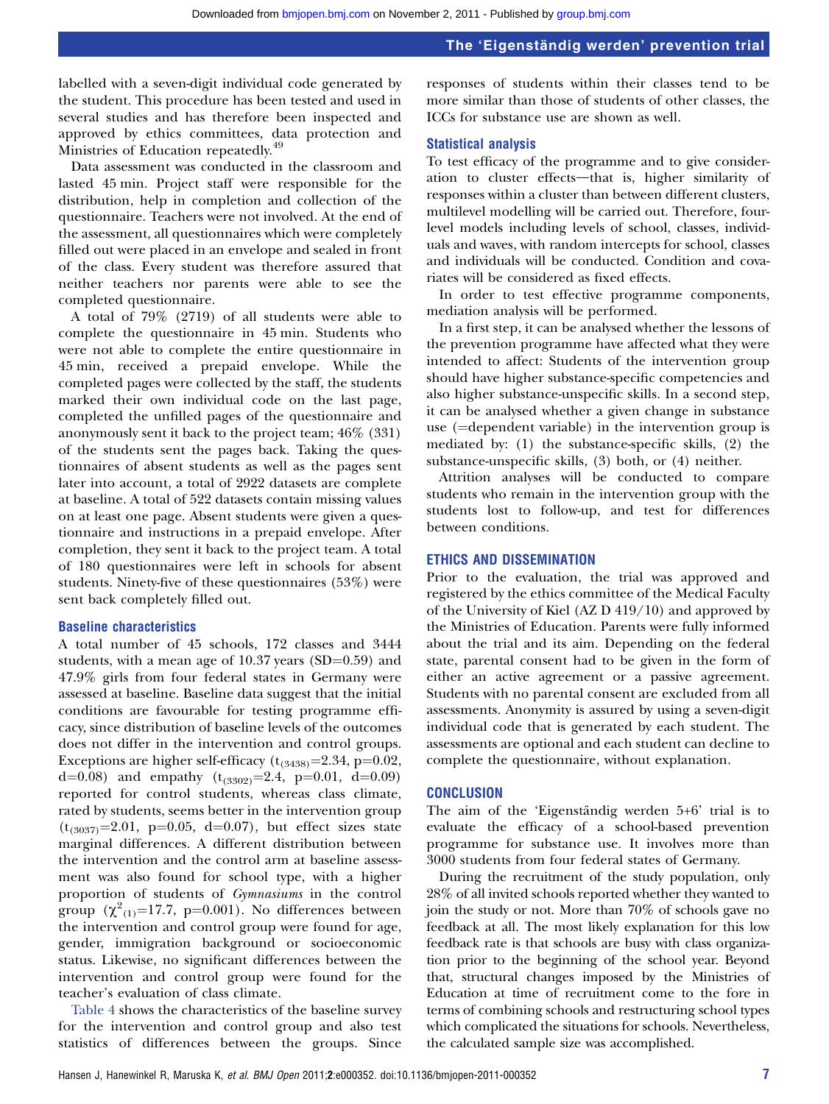labelled with a seven-digit individual code generated by the student. This procedure has been tested and used in several studies and has therefore been inspected and approved by ethics committees, data protection and Ministries of Education repeatedly.<sup>49</sup>

Data assessment was conducted in the classroom and lasted 45 min. Project staff were responsible for the distribution, help in completion and collection of the questionnaire. Teachers were not involved. At the end of the assessment, all questionnaires which were completely filled out were placed in an envelope and sealed in front of the class. Every student was therefore assured that neither teachers nor parents were able to see the completed questionnaire.

A total of 79% (2719) of all students were able to complete the questionnaire in 45 min. Students who were not able to complete the entire questionnaire in 45 min, received a prepaid envelope. While the completed pages were collected by the staff, the students marked their own individual code on the last page, completed the unfilled pages of the questionnaire and anonymously sent it back to the project team; 46% (331) of the students sent the pages back. Taking the questionnaires of absent students as well as the pages sent later into account, a total of 2922 datasets are complete at baseline. A total of 522 datasets contain missing values on at least one page. Absent students were given a questionnaire and instructions in a prepaid envelope. After completion, they sent it back to the project team. A total of 180 questionnaires were left in schools for absent students. Ninety-five of these questionnaires (53%) were sent back completely filled out.

### Baseline characteristics

A total number of 45 schools, 172 classes and 3444 students, with a mean age of  $10.37$  years (SD=0.59) and 47.9% girls from four federal states in Germany were assessed at baseline. Baseline data suggest that the initial conditions are favourable for testing programme efficacy, since distribution of baseline levels of the outcomes does not differ in the intervention and control groups. Exceptions are higher self-efficacy  $(t_{(3438)}=2.34, p=0.02,$ d=0.08) and empathy  $(t_{(3302)}=2.4, p=0.01, d=0.09)$ reported for control students, whereas class climate, rated by students, seems better in the intervention group  $(t_{(3037)}=2.01, p=0.05, d=0.07)$ , but effect sizes state marginal differences. A different distribution between the intervention and the control arm at baseline assessment was also found for school type, with a higher proportion of students of Gymnasiums in the control group  $(\chi^2_{(1)}=17.7, p=0.001)$ . No differences between the intervention and control group were found for age, gender, immigration background or socioeconomic status. Likewise, no significant differences between the intervention and control group were found for the teacher's evaluation of class climate.

Table 4 shows the characteristics of the baseline survey for the intervention and control group and also test statistics of differences between the groups. Since

responses of students within their classes tend to be more similar than those of students of other classes, the ICCs for substance use are shown as well.

#### Statistical analysis

To test efficacy of the programme and to give consideration to cluster effects—that is, higher similarity of responses within a cluster than between different clusters, multilevel modelling will be carried out. Therefore, fourlevel models including levels of school, classes, individuals and waves, with random intercepts for school, classes and individuals will be conducted. Condition and covariates will be considered as fixed effects.

In order to test effective programme components, mediation analysis will be performed.

In a first step, it can be analysed whether the lessons of the prevention programme have affected what they were intended to affect: Students of the intervention group should have higher substance-specific competencies and also higher substance-unspecific skills. In a second step, it can be analysed whether a given change in substance use  $(=$ dependent variable) in the intervention group is mediated by: (1) the substance-specific skills, (2) the substance-unspecific skills, (3) both, or (4) neither.

Attrition analyses will be conducted to compare students who remain in the intervention group with the students lost to follow-up, and test for differences between conditions.

#### ETHICS AND DISSEMINATION

Prior to the evaluation, the trial was approved and registered by the ethics committee of the Medical Faculty of the University of Kiel (AZ D 419/10) and approved by the Ministries of Education. Parents were fully informed about the trial and its aim. Depending on the federal state, parental consent had to be given in the form of either an active agreement or a passive agreement. Students with no parental consent are excluded from all assessments. Anonymity is assured by using a seven-digit individual code that is generated by each student. The assessments are optional and each student can decline to complete the questionnaire, without explanation.

#### **CONCLUSION**

The aim of the 'Eigenständig werden  $5+6$ ' trial is to evaluate the efficacy of a school-based prevention programme for substance use. It involves more than 3000 students from four federal states of Germany.

During the recruitment of the study population, only 28% of all invited schools reported whether they wanted to join the study or not. More than 70% of schools gave no feedback at all. The most likely explanation for this low feedback rate is that schools are busy with class organization prior to the beginning of the school year. Beyond that, structural changes imposed by the Ministries of Education at time of recruitment come to the fore in terms of combining schools and restructuring school types which complicated the situations for schools. Nevertheless, the calculated sample size was accomplished.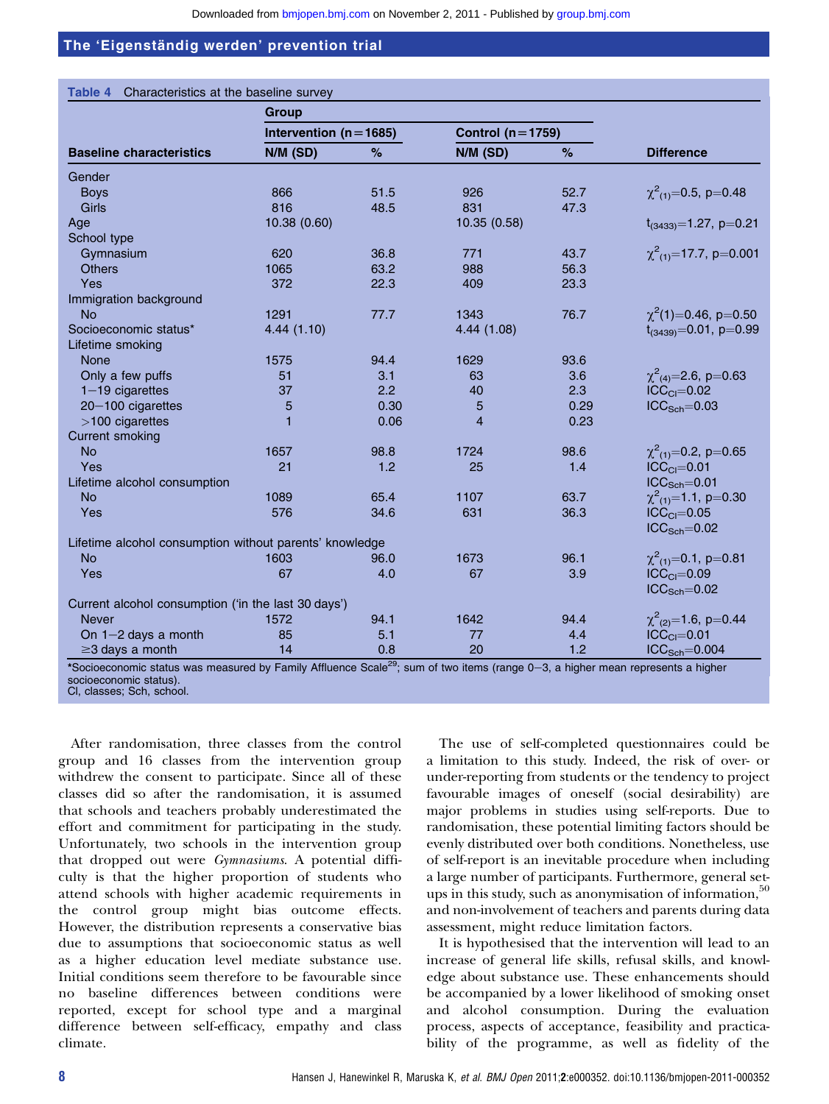|                                                                                                                                                                     | Group                       |      |                        |      |                               |
|---------------------------------------------------------------------------------------------------------------------------------------------------------------------|-----------------------------|------|------------------------|------|-------------------------------|
|                                                                                                                                                                     | Intervention ( $n = 1685$ ) |      | Control ( $n = 1759$ ) |      |                               |
| <b>Baseline characteristics</b>                                                                                                                                     | N/M (SD)                    | %    | N/M (SD)               | %    | <b>Difference</b>             |
| Gender                                                                                                                                                              |                             |      |                        |      |                               |
| <b>Boys</b>                                                                                                                                                         | 866                         | 51.5 | 926                    | 52.7 | $\chi^2_{(1)} = 0.5$ , p=0.48 |
| <b>Girls</b>                                                                                                                                                        | 816                         | 48.5 | 831                    | 47.3 |                               |
| Age                                                                                                                                                                 | 10.38 (0.60)                |      | 10.35 (0.58)           |      | $t_{(3433)} = 1.27$ , p=0.21  |
| School type                                                                                                                                                         |                             |      |                        |      |                               |
| Gymnasium                                                                                                                                                           | 620                         | 36.8 | 771                    | 43.7 | $\chi^2_{(1)}$ =17.7, p=0.001 |
| <b>Others</b>                                                                                                                                                       | 1065                        | 63.2 | 988                    | 56.3 |                               |
| Yes                                                                                                                                                                 | 372                         | 22.3 | 409                    | 23.3 |                               |
| Immigration background                                                                                                                                              |                             |      |                        |      |                               |
| <b>No</b>                                                                                                                                                           | 1291                        | 77.7 | 1343                   | 76.7 | $\chi^2(1)$ =0.46, p=0.50     |
| Socioeconomic status*                                                                                                                                               | 4.44(1.10)                  |      | 4.44 (1.08)            |      | $t_{(3439)} = 0.01$ , p=0.99  |
| Lifetime smoking                                                                                                                                                    |                             |      |                        |      |                               |
| <b>None</b>                                                                                                                                                         | 1575                        | 94.4 | 1629                   | 93.6 |                               |
| Only a few puffs                                                                                                                                                    | 51                          | 3.1  | 63                     | 3.6  | $\chi^2_{(4)} = 2.6$ , p=0.63 |
| $1-19$ cigarettes                                                                                                                                                   | 37                          | 2.2  | 40                     | 2.3  | $ICCCI=0.02$                  |
| 20-100 cigarettes                                                                                                                                                   | 5                           | 0.30 | 5                      | 0.29 | $ICCSch=0.03$                 |
| $>100$ cigarettes                                                                                                                                                   | 1                           | 0.06 | $\overline{4}$         | 0.23 |                               |
| <b>Current smoking</b>                                                                                                                                              |                             |      |                        |      |                               |
| <b>No</b>                                                                                                                                                           | 1657                        | 98.8 | 1724                   | 98.6 | $\chi^2_{(1)} = 0.2$ , p=0.65 |
| Yes                                                                                                                                                                 | 21                          | 1.2  | 25                     | 1.4  | $ICCCI=0.01$                  |
| Lifetime alcohol consumption                                                                                                                                        |                             |      |                        |      | $ICCSch=0.01$                 |
| <b>No</b>                                                                                                                                                           | 1089                        | 65.4 | 1107                   | 63.7 | $\chi^2_{(1)} = 1.1$ , p=0.30 |
| Yes                                                                                                                                                                 | 576                         | 34.6 | 631                    | 36.3 | $ICCCI=0.05$                  |
|                                                                                                                                                                     |                             |      |                        |      | $ICCSch=0.02$                 |
| Lifetime alcohol consumption without parents' knowledge                                                                                                             |                             |      |                        |      |                               |
| <b>No</b>                                                                                                                                                           | 1603                        | 96.0 | 1673                   | 96.1 | $\chi^2_{(1)} = 0.1$ , p=0.81 |
| Yes                                                                                                                                                                 | 67                          | 4.0  | 67                     | 3.9  | $ICCCl=0.09$                  |
|                                                                                                                                                                     |                             |      |                        |      | $ICCSch=0.02$                 |
| Current alcohol consumption ('in the last 30 days')                                                                                                                 |                             |      |                        |      |                               |
| <b>Never</b>                                                                                                                                                        | 1572                        | 94.1 | 1642                   | 94.4 | $\chi^2_{(2)} = 1.6$ , p=0.44 |
| On $1-2$ days a month                                                                                                                                               | 85                          | 5.1  | 77                     | 4.4  | $ICCCl=0.01$                  |
| $\geq$ 3 days a month<br>*Socioeconomic status was measured by Eamily Affluence Scale <sup>29,</sup> sum of two items (range 0-3, a bigher mean represents a bigher | 14                          | 0.8  | 20                     | 1.2  | $ICCSch=0.004$                |

\*Socioeconomic status was measured by Family Affluence Scale<sup>29</sup>; sum of two items (range 0-3, a higher mean represents a higher socioeconomic status). Cl, classes; Sch, school.

After randomisation, three classes from the control group and 16 classes from the intervention group withdrew the consent to participate. Since all of these classes did so after the randomisation, it is assumed that schools and teachers probably underestimated the effort and commitment for participating in the study. Unfortunately, two schools in the intervention group that dropped out were Gymnasiums. A potential difficulty is that the higher proportion of students who attend schools with higher academic requirements in the control group might bias outcome effects. However, the distribution represents a conservative bias due to assumptions that socioeconomic status as well as a higher education level mediate substance use. Initial conditions seem therefore to be favourable since no baseline differences between conditions were reported, except for school type and a marginal difference between self-efficacy, empathy and class climate.

The use of self-completed questionnaires could be a limitation to this study. Indeed, the risk of over- or under-reporting from students or the tendency to project favourable images of oneself (social desirability) are major problems in studies using self-reports. Due to randomisation, these potential limiting factors should be evenly distributed over both conditions. Nonetheless, use of self-report is an inevitable procedure when including a large number of participants. Furthermore, general setups in this study, such as anonymisation of information,  $50$ and non-involvement of teachers and parents during data assessment, might reduce limitation factors.

It is hypothesised that the intervention will lead to an increase of general life skills, refusal skills, and knowledge about substance use. These enhancements should be accompanied by a lower likelihood of smoking onset and alcohol consumption. During the evaluation process, aspects of acceptance, feasibility and practicability of the programme, as well as fidelity of the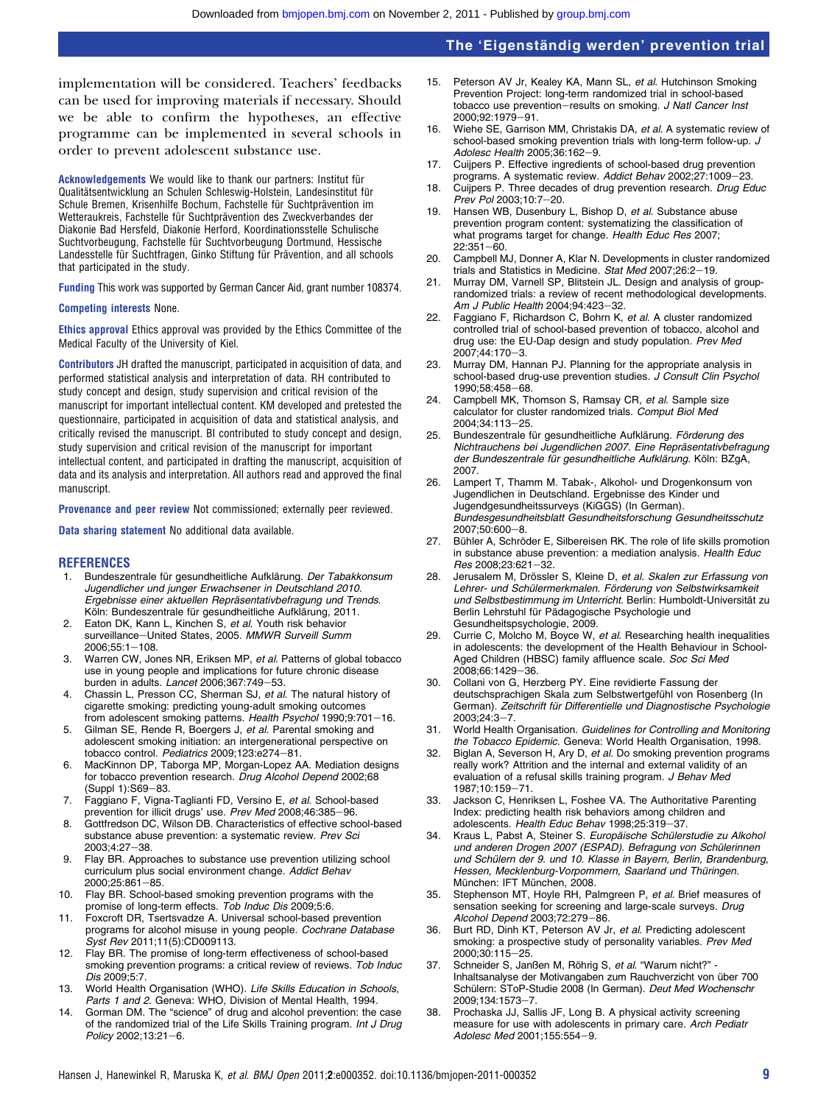implementation will be considered. Teachers' feedbacks can be used for improving materials if necessary. Should we be able to confirm the hypotheses, an effective programme can be implemented in several schools in order to prevent adolescent substance use.

Acknowledgements We would like to thank our partners: Institut für Qualitätsentwicklung an Schulen Schleswig-Holstein, Landesinstitut für Schule Bremen, Krisenhilfe Bochum, Fachstelle für Suchtprävention im Wetteraukreis, Fachstelle für Suchtprävention des Zweckverbandes der Diakonie Bad Hersfeld, Diakonie Herford, Koordinationsstelle Schulische Suchtvorbeugung, Fachstelle für Suchtvorbeugung Dortmund, Hessische Landesstelle für Suchtfragen, Ginko Stiftung für Prävention, and all schools that participated in the study.

Funding This work was supported by German Cancer Aid, grant number 108374.

#### Competing interests None.

Ethics approval Ethics approval was provided by the Ethics Committee of the Medical Faculty of the University of Kiel.

Contributors JH drafted the manuscript, participated in acquisition of data, and performed statistical analysis and interpretation of data. RH contributed to study concept and design, study supervision and critical revision of the manuscript for important intellectual content. KM developed and pretested the questionnaire, participated in acquisition of data and statistical analysis, and critically revised the manuscript. BI contributed to study concept and design, study supervision and critical revision of the manuscript for important intellectual content, and participated in drafting the manuscript, acquisition of data and its analysis and interpretation. All authors read and approved the final manuscript.

Provenance and peer review Not commissioned; externally peer reviewed.

Data sharing statement No additional data available.

#### **REFERENCES**

- 1. Bundeszentrale für gesundheitliche Aufklärung. Der Tabakkonsum Jugendlicher und junger Erwachsener in Deutschland 2010. Ergebnisse einer aktuellen Repräsentativbefragung und Trends. Köln: Bundeszentrale für gesundheitliche Aufklärung, 2011.
- 2. Eaton DK, Kann L, Kinchen S, et al. Youth risk behavior surveillance-United States, 2005. MMWR Surveill Summ  $2006;55:1-108.$
- 3. Warren CW, Jones NR, Eriksen MP, et al. Patterns of global tobacco use in young people and implications for future chronic disease burden in adults. Lancet 2006;367:749-53.
- 4. Chassin L, Presson CC, Sherman SJ, et al. The natural history of cigarette smoking: predicting young-adult smoking outcomes from adolescent smoking patterns. Health Psychol 1990;9:701-
- 5. Gilman SE, Rende R, Boergers J, et al. Parental smoking and adolescent smoking initiation: an intergenerational perspective on tobacco control. Pediatrics 2009;123:e274-81.
- 6. MacKinnon DP, Taborga MP, Morgan-Lopez AA. Mediation designs for tobacco prevention research. Drug Alcohol Depend 2002;68  $(Sumb 1):S69-83.$
- 7. Faggiano F, Vigna-Taglianti FD, Versino E, et al. School-based prevention for illicit drugs' use. Prev Med 2008;46:385-96.
- 8. Gottfredson DC, Wilson DB. Characteristics of effective school-based substance abuse prevention: a systematic review. Prev Sci 2003:4:27-38.
- 9. Flay BR. Approaches to substance use prevention utilizing school curriculum plus social environment change. Addict Behav 2000;25:861-85.
- 10. Flay BR. School-based smoking prevention programs with the promise of long-term effects. Tob Induc Dis 2009;5:6.
- 11. Foxcroft DR, Tsertsvadze A. Universal school-based prevention programs for alcohol misuse in young people. Cochrane Database Syst Rev 2011;11(5):CD009113.
- 12. Flay BR. The promise of long-term effectiveness of school-based smoking prevention programs: a critical review of reviews. Tob Induc Dis 2009;5:7.
- 13. World Health Organisation (WHO). Life Skills Education in Schools, Parts 1 and 2. Geneva: WHO, Division of Mental Health, 1994.
- 14. Gorman DM. The "science" of drug and alcohol prevention: the case of the randomized trial of the Life Skills Training program. Int J Drug Policy 2002;13:21-6.
- 15. Peterson AV Jr, Kealey KA, Mann SL, et al. Hutchinson Smoking Prevention Project: long-term randomized trial in school-based tobacco use prevention-results on smoking. J Natl Cancer Inst 2000:92:1979-91.
- 16. Wiehe SE, Garrison MM, Christakis DA, et al. A systematic review of school-based smoking prevention trials with long-term follow-up. J Adolesc Health 2005:36:162-9.
- 17. Cuijpers P. Effective ingredients of school-based drug prevention programs. A systematic review. Addict Behav 2002;27:1009-23.
- 18. Cuijpers P. Three decades of drug prevention research. Drug Educ Prev Pol 2003;10:7-20.
- 19. Hansen WB, Dusenbury L, Bishop D, et al. Substance abuse prevention program content: systematizing the classification of what programs target for change. Health Educ Res 2007;  $22:351 - 60$
- 20. Campbell MJ, Donner A, Klar N. Developments in cluster randomized trials and Statistics in Medicine. Stat Med 2007;26:2-19.
- 21. Murray DM, Varnell SP, Blitstein JL. Design and analysis of grouprandomized trials: a review of recent methodological developments. Am J Public Health 2004;94:423-32.
- 22. Faggiano F, Richardson C, Bohrn K, et al. A cluster randomized controlled trial of school-based prevention of tobacco, alcohol and drug use: the EU-Dap design and study population. Prev Med 2007;44:170-3.
- 23. Murray DM, Hannan PJ. Planning for the appropriate analysis in school-based drug-use prevention studies. J Consult Clin Psychol 1990:58:458-68.
- 24. Campbell MK, Thomson S, Ramsay CR, et al. Sample size calculator for cluster randomized trials. Comput Biol Med 2004;34:113-25.
- 25. Bundeszentrale für gesundheitliche Aufklärung. Förderung des Nichtrauchens bei Jugendlichen 2007. Eine Repräsentativbefragung der Bundeszentrale für gesundheitliche Aufklärung. Köln: BZgA, 2007.
- 26. Lampert T, Thamm M. Tabak-, Alkohol- und Drogenkonsum von Jugendlichen in Deutschland. Ergebnisse des Kinder und Jugendgesundheitssurveys (KiGGS) (In German). Bundesgesundheitsblatt Gesundheitsforschung Gesundheitsschutz 2007;50:600-8.
- 27. Bühler A, Schröder E, Silbereisen RK. The role of life skills promotion in substance abuse prevention: a mediation analysis. Health Educ Res 2008;23:621-32.
- 28. Jerusalem M, Drössler S, Kleine D, et al. Skalen zur Erfassung von Lehrer- und Schülermerkmalen. Förderung von Selbstwirksamkeit und Selbstbestimmung im Unterricht. Berlin: Humboldt-Universität zu Berlin Lehrstuhl für Pädagogische Psychologie und Gesundheitspsychologie, 2009.
- 29. Currie C, Molcho M, Boyce W, et al. Researching health inequalities in adolescents: the development of the Health Behaviour in School-Aged Children (HBSC) family affluence scale. Soc Sci Med 2008;66:1429-36.
- 30. Collani von G, Herzberg PY. Eine revidierte Fassung der deutschsprachigen Skala zum Selbstwertgefühl von Rosenberg (In German). Zeitschrift für Differentielle und Diagnostische Psychologie  $2003;24:3 - 7$ .
- 31. World Health Organisation. Guidelines for Controlling and Monitoring the Tobacco Epidemic. Geneva: World Health Organisation, 1998.
- 32. Biglan A, Severson H, Ary D, et al. Do smoking prevention programs really work? Attrition and the internal and external validity of an evaluation of a refusal skills training program. J Behav Med 1987:10:159-71.
- 33. Jackson C, Henriksen L, Foshee VA. The Authoritative Parenting Index: predicting health risk behaviors among children and adolescents. Health Educ Behav 1998;25:319-37.
- 34. Kraus L, Pabst A, Steiner S. Europäische Schülerstudie zu Alkohol und anderen Drogen 2007 (ESPAD). Befragung von Schülerinnen und Schülern der 9. und 10. Klasse in Bayern, Berlin, Brandenburg, Hessen, Mecklenburg-Vorpommern, Saarland und Thüringen. München: IFT München, 2008.
- 35. Stephenson MT, Hoyle RH, Palmgreen P, et al. Brief measures of sensation seeking for screening and large-scale surveys. Drug Alcohol Depend 2003;72:279-86.
- 36. Burt RD, Dinh KT, Peterson AV Jr, et al. Predicting adolescent smoking: a prospective study of personality variables. Prev Med 2000;30:115-25.
- 37. Schneider S, Janßen M, Röhrig S, et al. "Warum nicht?" -Inhaltsanalyse der Motivangaben zum Rauchverzicht von über 700 Schülern: SToP-Studie 2008 (In German). Deut Med Wochenschr 2009;134:1573-7.
- 38. Prochaska JJ, Sallis JF, Long B. A physical activity screening measure for use with adolescents in primary care. Arch Pediatr Adolesc Med 2001;155:554-9.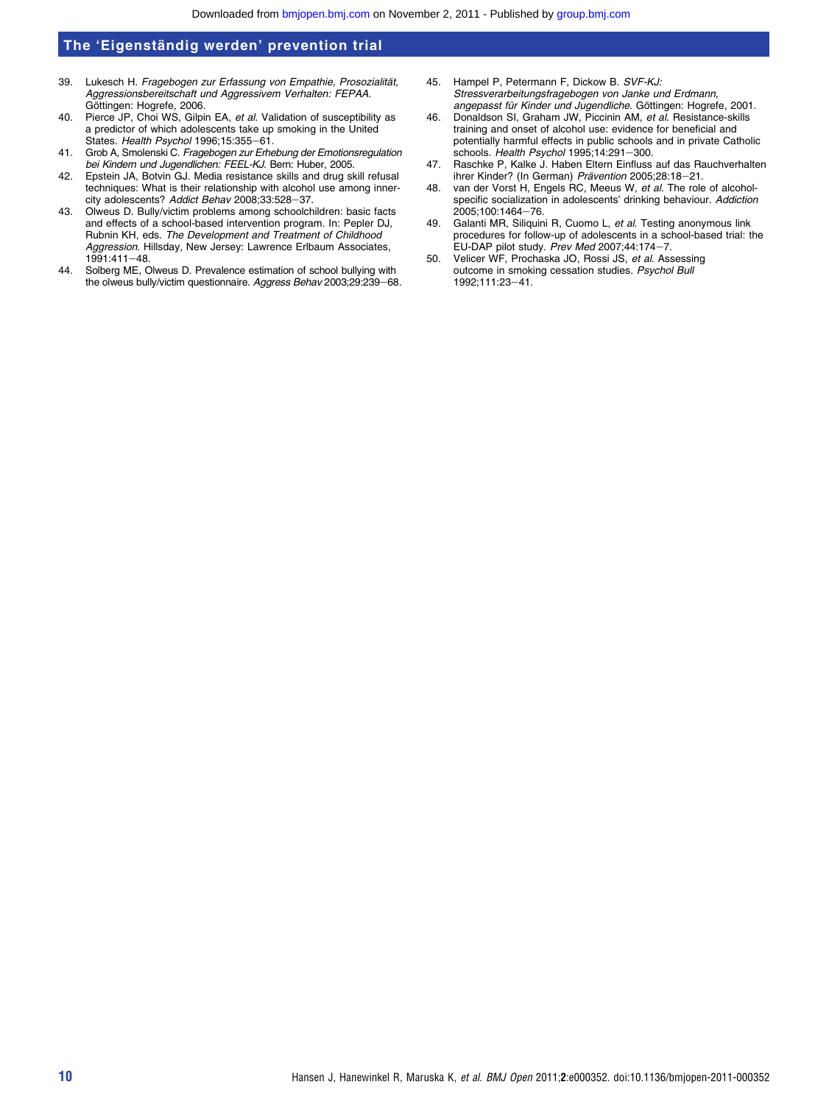- 39. Lukesch H. Fragebogen zur Erfassung von Empathie, Prosozialität, Aggressionsbereitschaft und Aggressivem Verhalten: FEPAA. Göttingen: Hogrefe, 2006.
- 40. Pierce JP, Choi WS, Gilpin EA, et al. Validation of susceptibility as a predictor of which adolescents take up smoking in the United States. Health Psychol 1996;15:355-61.
- 41. Grob A, Smolenski C. Fragebogen zur Erhebung der Emotionsregulation bei Kindern und Jugendlichen: FEEL-KJ. Bern: Huber, 2005.
- 42. Epstein JA, Botvin GJ. Media resistance skills and drug skill refusal techniques: What is their relationship with alcohol use among innercity adolescents? Addict Behav 2008;33:528-37.
- 43. Olweus D. Bully/victim problems among schoolchildren: basic facts and effects of a school-based intervention program. In: Pepler DJ, Rubnin KH, eds. The Development and Treatment of Childhood Aggression. Hillsday, New Jersey: Lawrence Erlbaum Associates,  $1991:411 - 48$
- 44. Solberg ME, Olweus D. Prevalence estimation of school bullying with the olweus bully/victim questionnaire. Aggress Behav 2003;29:239-68.
- 45. Hampel P, Petermann F, Dickow B. SVF-KJ: Stressverarbeitungsfragebogen von Janke und Erdmann, angepasst für Kinder und Jugendliche. Göttingen: Hogrefe, 2001.
- 46. Donaldson SI, Graham JW, Piccinin AM, et al. Resistance-skills training and onset of alcohol use: evidence for beneficial and potentially harmful effects in public schools and in private Catholic schools. Health Psychol 1995;14:291-300.
- 47. Raschke P, Kalke J. Haben Eltern Einfluss auf das Rauchverhalten ihrer Kinder? (In German) Prävention 2005;28:18-21.
- 48. van der Vorst H, Engels RC, Meeus W, et al. The role of alcoholspecific socialization in adolescents' drinking behaviour. Addiction 2005;100:1464-76.
- 49. Galanti MR, Siliquini R, Cuomo L, et al. Testing anonymous link procedures for follow-up of adolescents in a school-based trial: the EU-DAP pilot study. Prev Med 2007:44:174-7.
- 50. Velicer WF, Prochaska JO, Rossi JS, et al. Assessing outcome in smoking cessation studies. Psychol Bull 1992;111:23-41.